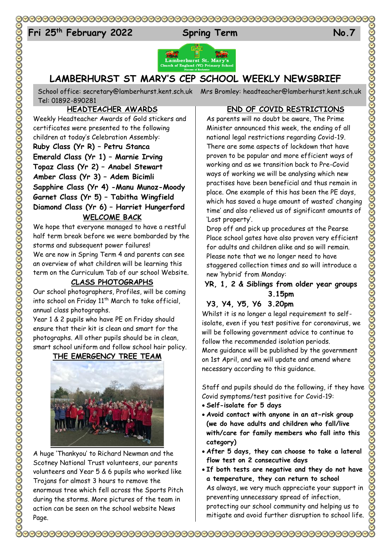# 

# Fri 25<sup>th</sup> February 2022 Spring Term No.7



# **LAMBERHURST ST MARY'S CEP SCHOOL WEEKLY NEWSBRIEF**

School office: [secretary@lamberhurst.kent.sch.uk](mailto:secretary@lamberhurst.kent.sch.uk) Mrs Bromley: headteacher@lamberhurst.kent.sch.uk Tel: 01892-890281

## **HEADTEACHER AWARDS**

Weekly Headteacher Awards of Gold stickers and certificates were presented to the following children at today's Celebration Assembly: **Ruby Class (Yr R) – Petru Stanca Emerald Class (Yr 1) – Marnie Irving Topaz Class (Yr 2) – Anabel Stewart Amber Class (Yr 3) – Adem Bicimli Sapphire Class (Yr 4) -Manu Munoz-Moody Garnet Class (Yr 5) – Tabitha Wingfield Diamond Class (Yr 6) – Harriet Hungerford WELCOME BACK**

We hope that everyone managed to have a restful half term break before we were bombarded by the storms and subsequent power failures! We are now in Spring Term 4 and parents can see an overview of what children will be learning this term on the Curriculum Tab of our school Website.

## **CLASS PHOTOGRAPHS**

Our school photographers, Profiles, will be coming into school on Friday 11<sup>th</sup> March to take official, annual class photographs.

Year 1 & 2 pupils who have PE on Friday should ensure that their kit is clean and smart for the photographs. All other pupils should be in clean, smart school uniform and follow school hair policy.

## **THE EMERGENCY TREE TEAM**



A huge 'Thankyou' to Richard Newman and the Scotney National Trust volunteers, our parents volunteers and Year 5 & 6 pupils who worked like Trojans for almost 3 hours to remove the enormous tree which fell across the Sports Pitch during the storms. More pictures of the team in action can be seen on the school website News Page.

## **END OF COVID RESTRICTIONS**

As parents will no doubt be aware, The Prime Minister announced this week, the ending of all national legal restrictions regarding Covid-19. There are some aspects of lockdown that have proven to be popular and more efficient ways of working and as we transition back to Pre-Covid ways of working we will be analysing which new practises have been beneficial and thus remain in place. One example of this has been the PE days, which has saved a huge amount of wasted' changing time' and also relieved us of significant amounts of 'Lost property'.

Drop off and pick up procedures at the Pearse Place school gates have also proven very efficient for adults and children alike and so will remain. Please note that we no longer need to have staggered collection times and so will introduce a new 'hybrid' from Monday:

## **YR, 1, 2 & Siblings from older year groups 3.15pm**

## **Y3, Y4, Y5, Y6 3.20pm**

Whilst it is no longer a legal requirement to selfisolate, even if you test positive for coronavirus, we will be following government advice to continue to follow the recommended isolation periods. More guidance will be published by the government on 1st April, and we will update and amend where necessary according to this guidance.

Staff and pupils should do the following, if they have Covid symptoms/test positive for Covid-19:

**Self-isolate for 5 days**

- **Avoid contact with anyone in an at-risk group (we do have adults and children who fall/live with/care for family members who fall into this category)**
- **After 5 days, they can choose to take a lateral flow test on 2 consecutive days**
- **If both tests are negative and they do not have a temperature, they can return to school** As always, we very much appreciate your support in preventing unnecessary spread of infection, protecting our school community and helping us to mitigate and avoid further disruption to school life.